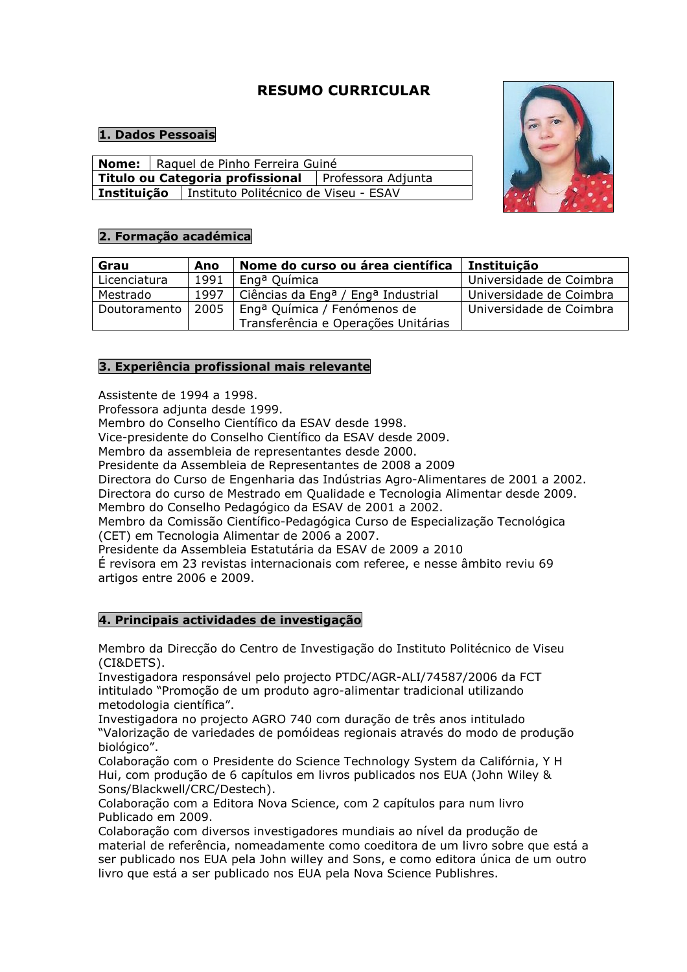# RESUMO CURRICULAR

## 1. Dados Pessoais

|                                                       |  | Nome:   Raquel de Pinho Ferreira Guiné |                                                            |  |  |
|-------------------------------------------------------|--|----------------------------------------|------------------------------------------------------------|--|--|
| Titulo ou Categoria profissional   Professora Adjunta |  |                                        |                                                            |  |  |
|                                                       |  |                                        | <b>Instituição</b>   Instituto Politécnico de Viseu - ESAV |  |  |





| Grau         | Ano  | Nome do curso ou área científica                           | Instituição             |
|--------------|------|------------------------------------------------------------|-------------------------|
| Licenciatura | 1991 | Eng <sup>a</sup> Química                                   | Universidade de Coimbra |
| Mestrado     | 1997 | Ciências da Eng <sup>a</sup> / Eng <sup>a</sup> Industrial | Universidade de Coimbra |
| Doutoramento | 2005 | Eng <sup>a</sup> Química / Fenómenos de                    | Universidade de Coimbra |
|              |      | Transferência e Operações Unitárias                        |                         |

## 3. Experiência profissional mais relevante

Assistente de 1994 a 1998.

Professora adjunta desde 1999.

Membro do Conselho Científico da ESAV desde 1998.

Vice-presidente do Conselho Científico da ESAV desde 2009.

Membro da assembleia de representantes desde 2000.

Presidente da Assembleia de Representantes de 2008 a 2009

Directora do Curso de Engenharia das Indústrias Agro-Alimentares de 2001 a 2002.

Directora do curso de Mestrado em Qualidade e Tecnologia Alimentar desde 2009. Membro do Conselho Pedagógico da ESAV de 2001 a 2002.

Membro da Comissão Científico-Pedagógica Curso de Especialização Tecnológica (CET) em Tecnologia Alimentar de 2006 a 2007.

Presidente da Assembleia Estatutária da ESAV de 2009 a 2010

É revisora em 23 revistas internacionais com referee, e nesse âmbito reviu 69 artigos entre 2006 e 2009.

## 4. Principais actividades de investigação

Membro da Direcção do Centro de Investigação do Instituto Politécnico de Viseu (CI&DETS).

Investigadora responsável pelo projecto PTDC/AGR-ALI/74587/2006 da FCT intitulado "Promoção de um produto agro-alimentar tradicional utilizando metodologia científica".

Investigadora no projecto AGRO 740 com duração de três anos intitulado "Valorização de variedades de pomóideas regionais através do modo de produção biológico".

Colaboração com o Presidente do Science Technology System da Califórnia, Y H Hui, com produção de 6 capítulos em livros publicados nos EUA (John Wiley & Sons/Blackwell/CRC/Destech).

Colaboração com a Editora Nova Science, com 2 capítulos para num livro Publicado em 2009.

Colaboração com diversos investigadores mundiais ao nível da produção de material de referência, nomeadamente como coeditora de um livro sobre que está a ser publicado nos EUA pela John willey and Sons, e como editora única de um outro livro que está a ser publicado nos EUA pela Nova Science Publishres.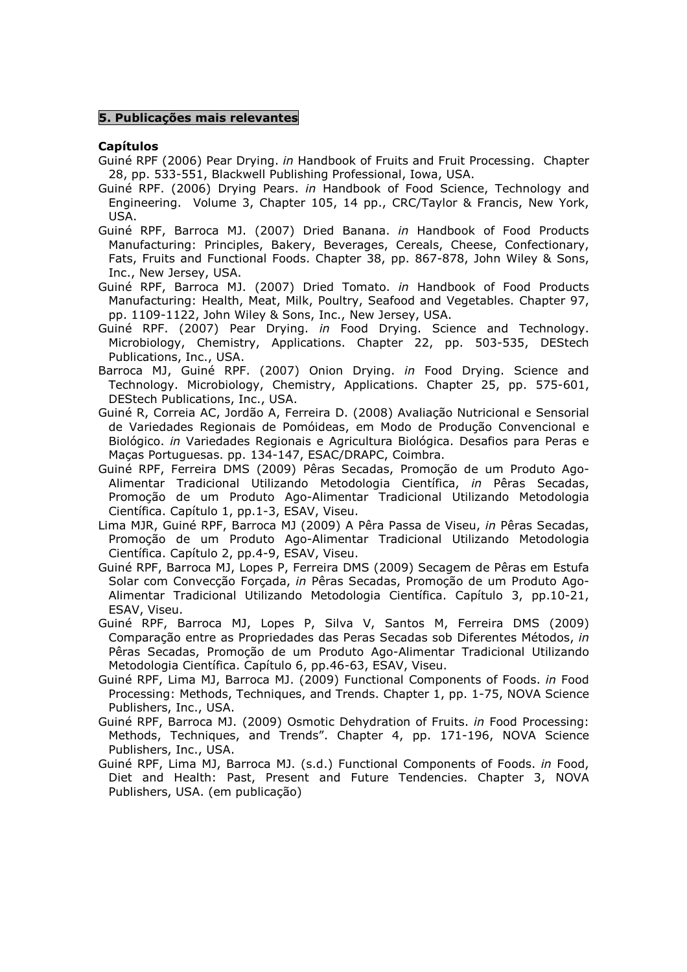### 5. Publicações mais relevantes

#### Capítulos

- Guiné RPF (2006) Pear Drying. in Handbook of Fruits and Fruit Processing. Chapter 28, pp. 533-551, Blackwell Publishing Professional, Iowa, USA.
- Guiné RPF. (2006) Drying Pears. in Handbook of Food Science, Technology and Engineering. Volume 3, Chapter 105, 14 pp., CRC/Taylor & Francis, New York, USA.
- Guiné RPF, Barroca MJ. (2007) Dried Banana. in Handbook of Food Products Manufacturing: Principles, Bakery, Beverages, Cereals, Cheese, Confectionary, Fats, Fruits and Functional Foods. Chapter 38, pp. 867-878, John Wiley & Sons, Inc., New Jersey, USA.
- Guiné RPF, Barroca MJ. (2007) Dried Tomato. in Handbook of Food Products Manufacturing: Health, Meat, Milk, Poultry, Seafood and Vegetables. Chapter 97, pp. 1109-1122, John Wiley & Sons, Inc., New Jersey, USA.
- Guiné RPF. (2007) Pear Drying. in Food Drying. Science and Technology. Microbiology, Chemistry, Applications. Chapter 22, pp. 503-535, DEStech Publications, Inc., USA.
- Barroca MJ, Guiné RPF. (2007) Onion Drying. in Food Drying. Science and Technology. Microbiology, Chemistry, Applications. Chapter 25, pp. 575-601, DEStech Publications, Inc., USA.
- Guiné R, Correia AC, Jordão A, Ferreira D. (2008) Avaliação Nutricional e Sensorial de Variedades Regionais de Pomóideas, em Modo de Produção Convencional e Biológico. in Variedades Regionais e Agricultura Biológica. Desafios para Peras e Maças Portuguesas. pp. 134-147, ESAC/DRAPC, Coimbra.
- Guiné RPF, Ferreira DMS (2009) Pêras Secadas, Promoção de um Produto Ago-Alimentar Tradicional Utilizando Metodologia Científica, in Pêras Secadas, Promoção de um Produto Ago-Alimentar Tradicional Utilizando Metodologia Científica. Capítulo 1, pp.1-3, ESAV, Viseu.
- Lima MJR, Guiné RPF, Barroca MJ (2009) A Pêra Passa de Viseu, in Pêras Secadas, Promoção de um Produto Ago-Alimentar Tradicional Utilizando Metodologia Científica. Capítulo 2, pp.4-9, ESAV, Viseu.
- Guiné RPF, Barroca MJ, Lopes P, Ferreira DMS (2009) Secagem de Pêras em Estufa Solar com Convecção Forçada, in Pêras Secadas, Promoção de um Produto Ago-Alimentar Tradicional Utilizando Metodologia Científica. Capítulo 3, pp.10-21, ESAV, Viseu.
- Guiné RPF, Barroca MJ, Lopes P, Silva V, Santos M, Ferreira DMS (2009) Comparação entre as Propriedades das Peras Secadas sob Diferentes Métodos, in Pêras Secadas, Promoção de um Produto Ago-Alimentar Tradicional Utilizando Metodologia Científica. Capítulo 6, pp.46-63, ESAV, Viseu.
- Guiné RPF, Lima MJ, Barroca MJ. (2009) Functional Components of Foods. in Food Processing: Methods, Techniques, and Trends. Chapter 1, pp. 1-75, NOVA Science Publishers, Inc., USA.
- Guiné RPF, Barroca MJ. (2009) Osmotic Dehydration of Fruits. in Food Processing: Methods, Techniques, and Trends". Chapter 4, pp. 171-196, NOVA Science Publishers, Inc., USA.
- Guiné RPF, Lima MJ, Barroca MJ. (s.d.) Functional Components of Foods. in Food, Diet and Health: Past, Present and Future Tendencies. Chapter 3, NOVA Publishers, USA. (em publicação)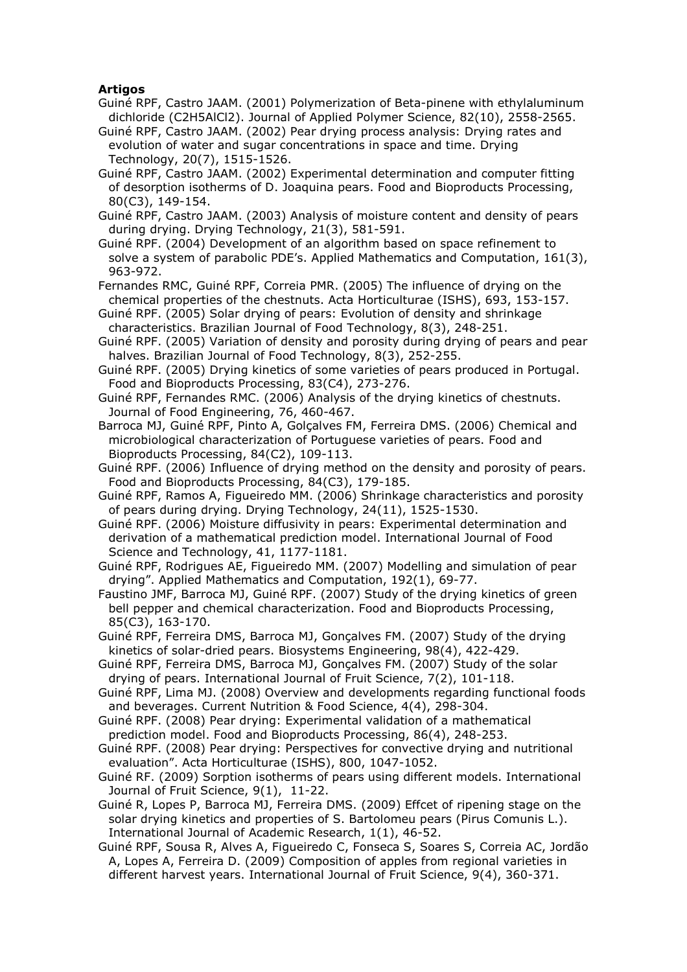## Artigos

- Guiné RPF, Castro JAAM. (2001) Polymerization of Beta-pinene with ethylaluminum dichloride (C2H5AlCl2). Journal of Applied Polymer Science, 82(10), 2558-2565.
- Guiné RPF, Castro JAAM. (2002) Pear drying process analysis: Drying rates and evolution of water and sugar concentrations in space and time. Drying Technology, 20(7), 1515-1526.
- Guiné RPF, Castro JAAM. (2002) Experimental determination and computer fitting of desorption isotherms of D. Joaquina pears. Food and Bioproducts Processing, 80(C3), 149-154.
- Guiné RPF, Castro JAAM. (2003) Analysis of moisture content and density of pears during drying. Drying Technology, 21(3), 581-591.
- Guiné RPF. (2004) Development of an algorithm based on space refinement to solve a system of parabolic PDE's. Applied Mathematics and Computation, 161(3), 963-972.
- Fernandes RMC, Guiné RPF, Correia PMR. (2005) The influence of drying on the chemical properties of the chestnuts. Acta Horticulturae (ISHS), 693, 153-157.
- Guiné RPF. (2005) Solar drying of pears: Evolution of density and shrinkage characteristics. Brazilian Journal of Food Technology, 8(3), 248-251.
- Guiné RPF. (2005) Variation of density and porosity during drying of pears and pear halves. Brazilian Journal of Food Technology, 8(3), 252-255.
- Guiné RPF. (2005) Drying kinetics of some varieties of pears produced in Portugal. Food and Bioproducts Processing, 83(C4), 273-276.
- Guiné RPF, Fernandes RMC. (2006) Analysis of the drying kinetics of chestnuts. Journal of Food Engineering, 76, 460-467.
- Barroca MJ, Guiné RPF, Pinto A, Golçalves FM, Ferreira DMS. (2006) Chemical and microbiological characterization of Portuguese varieties of pears. Food and Bioproducts Processing, 84(C2), 109-113.
- Guiné RPF. (2006) Influence of drying method on the density and porosity of pears. Food and Bioproducts Processing, 84(C3), 179-185.
- Guiné RPF, Ramos A, Figueiredo MM. (2006) Shrinkage characteristics and porosity of pears during drying. Drying Technology, 24(11), 1525-1530.
- Guiné RPF. (2006) Moisture diffusivity in pears: Experimental determination and derivation of a mathematical prediction model. International Journal of Food Science and Technology, 41, 1177-1181.
- Guiné RPF, Rodrigues AE, Figueiredo MM. (2007) Modelling and simulation of pear drying". Applied Mathematics and Computation, 192(1), 69-77.
- Faustino JMF, Barroca MJ, Guiné RPF. (2007) Study of the drying kinetics of green bell pepper and chemical characterization. Food and Bioproducts Processing, 85(C3), 163-170.
- Guiné RPF, Ferreira DMS, Barroca MJ, Gonçalves FM. (2007) Study of the drying kinetics of solar-dried pears. Biosystems Engineering, 98(4), 422-429.
- Guiné RPF, Ferreira DMS, Barroca MJ, Gonçalves FM. (2007) Study of the solar drying of pears. International Journal of Fruit Science, 7(2), 101-118.
- Guiné RPF, Lima MJ. (2008) Overview and developments regarding functional foods and beverages. Current Nutrition & Food Science, 4(4), 298-304.
- Guiné RPF. (2008) Pear drying: Experimental validation of a mathematical prediction model. Food and Bioproducts Processing, 86(4), 248-253.
- Guiné RPF. (2008) Pear drying: Perspectives for convective drying and nutritional evaluation". Acta Horticulturae (ISHS), 800, 1047-1052.
- Guiné RF. (2009) Sorption isotherms of pears using different models. International Journal of Fruit Science, 9(1), 11-22.
- Guiné R, Lopes P, Barroca MJ, Ferreira DMS. (2009) Effcet of ripening stage on the solar drying kinetics and properties of S. Bartolomeu pears (Pirus Comunis L.). International Journal of Academic Research, 1(1), 46-52.
- Guiné RPF, Sousa R, Alves A, Figueiredo C, Fonseca S, Soares S, Correia AC, Jordão A, Lopes A, Ferreira D. (2009) Composition of apples from regional varieties in different harvest years. International Journal of Fruit Science, 9(4), 360-371.